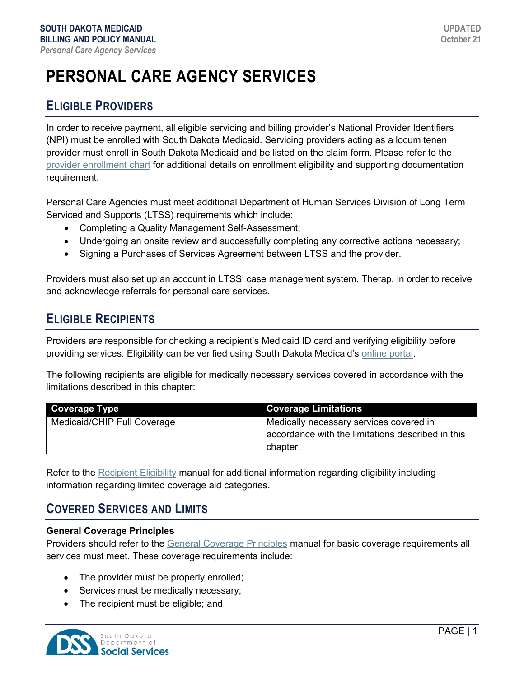# **PERSONAL CARE AGENCY SERVICES**

# **ELIGIBLE PROVIDERS**

In order to receive payment, all eligible servicing and billing provider's National Provider Identifiers (NPI) must be enrolled with South Dakota Medicaid. Servicing providers acting as a locum tenen provider must enroll in South Dakota Medicaid and be listed on the claim form. Please refer to the [provider enrollment chart](https://dss.sd.gov/docs/medicaid/providers/ProviderChart.pdf) for additional details on enrollment eligibility and supporting documentation requirement.

Personal Care Agencies must meet additional Department of Human Services Division of Long Term Serviced and Supports (LTSS) requirements which include:

- Completing a Quality Management Self-Assessment;
- Undergoing an onsite review and successfully completing any corrective actions necessary;
- Signing a Purchases of Services Agreement between LTSS and the provider.

Providers must also set up an account in LTSS' case management system, Therap, in order to receive and acknowledge referrals for personal care services.

# **ELIGIBLE RECIPIENTS**

Providers are responsible for checking a recipient's Medicaid ID card and verifying eligibility before providing services. Eligibility can be verified using South Dakota Medicaid's [online portal.](https://dss.sd.gov/medicaid/portal.aspx)

The following recipients are eligible for medically necessary services covered in accordance with the limitations described in this chapter:

| <b>Coverage Type</b>        | <b>Coverage Limitations</b>                       |
|-----------------------------|---------------------------------------------------|
| Medicaid/CHIP Full Coverage | Medically necessary services covered in           |
|                             | accordance with the limitations described in this |
|                             | chapter.                                          |

Refer to the [Recipient Eligibility](https://dss.sd.gov/docs/medicaid/providers/billingmanuals/General/Recipient_Eligibility.pdf) manual for additional information regarding eligibility including information regarding limited coverage aid categories.

## **COVERED SERVICES AND LIMITS**

#### **General Coverage Principles**

Providers should refer to the [General Coverage Principles](https://dss.sd.gov/docs/medicaid/providers/billingmanuals/General/General_Coverage_Principles.pdf) manual for basic coverage requirements all services must meet. These coverage requirements include:

- The provider must be properly enrolled;
- Services must be medically necessary;
- The recipient must be eligible; and

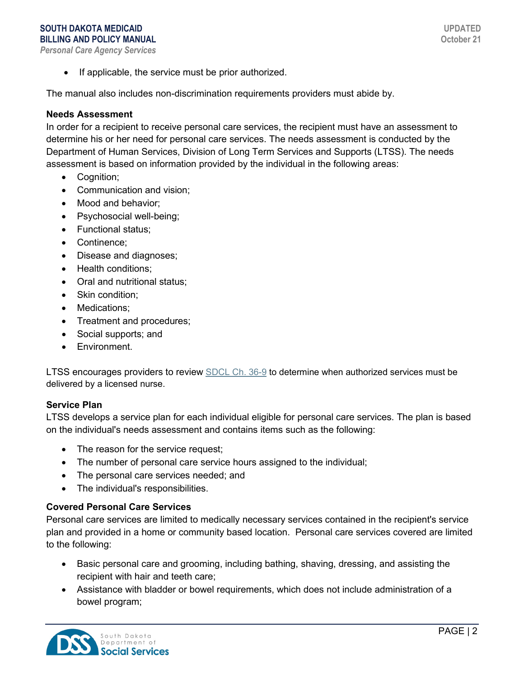#### **SOUTH DAKOTA MEDICAID BILLING AND POLICY MANUAL** *Personal Care Agency Services*

**UPDATED October 21**

• If applicable, the service must be prior authorized.

The manual also includes non-discrimination requirements providers must abide by.

#### **Needs Assessment**

In order for a recipient to receive personal care services, the recipient must have an assessment to determine his or her need for personal care services. The needs assessment is conducted by the Department of Human Services, Division of Long Term Services and Supports (LTSS). The needs assessment is based on information provided by the individual in the following areas:

- Cognition;
- Communication and vision;
- Mood and behavior:
- Psychosocial well-being;
- Functional status;
- Continence;
- Disease and diagnoses;
- Health conditions;
- Oral and nutritional status;
- Skin condition:
- Medications;
- Treatment and procedures;
- Social supports; and
- Environment.

[LTSS encourages providers to review SDCL Ch. 36-9](http://sdlegislature.gov/Statutes/Codified_Laws/DisplayStatute.aspx?Type=Statute&Statute=36-9) to determine when authorized services must be delivered by a licensed nurse.

#### **Service Plan**

LTSS develops a service plan for each individual eligible for personal care services. The plan is based on the individual's needs assessment and contains items such as the following:

- The reason for the service request;
- The number of personal care service hours assigned to the individual;
- The personal care services needed; and
- The individual's responsibilities.

#### **Covered Personal Care Services**

Personal care services are limited to medically necessary services contained in the recipient's service plan and provided in a home or community based location. Personal care services covered are limited to the following:

- Basic personal care and grooming, including bathing, shaving, dressing, and assisting the recipient with hair and teeth care;
- Assistance with bladder or bowel requirements, which does not include administration of a bowel program;

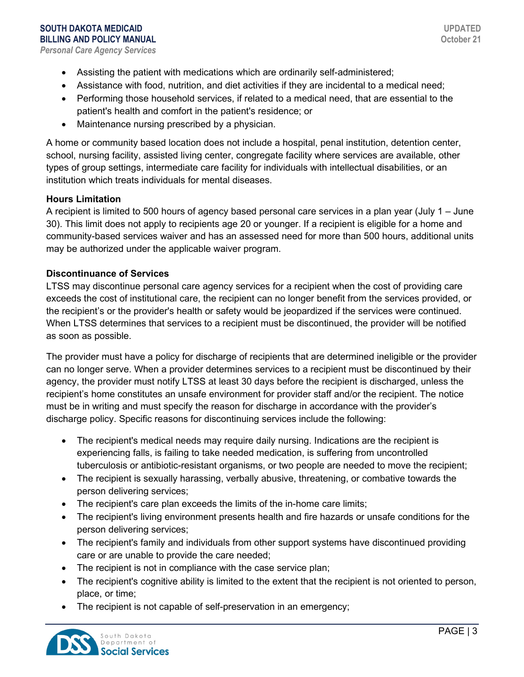- Assisting the patient with medications which are ordinarily self-administered;
- Assistance with food, nutrition, and diet activities if they are incidental to a medical need;
- Performing those household services, if related to a medical need, that are essential to the patient's health and comfort in the patient's residence; or
- Maintenance nursing prescribed by a physician.

A home or community based location does not include a hospital, penal institution, detention center, school, nursing facility, assisted living center, congregate facility where services are available, other types of group settings, intermediate care facility for individuals with intellectual disabilities, or an institution which treats individuals for mental diseases.

#### **Hours Limitation**

A recipient is limited to 500 hours of agency based personal care services in a plan year (July 1 – June 30). This limit does not apply to recipients age 20 or younger. If a recipient is eligible for a home and community-based services waiver and has an assessed need for more than 500 hours, additional units may be authorized under the applicable waiver program.

#### **Discontinuance of Services**

LTSS may discontinue personal care agency services for a recipient when the cost of providing care exceeds the cost of institutional care, the recipient can no longer benefit from the services provided, or the recipient's or the provider's health or safety would be jeopardized if the services were continued. When LTSS determines that services to a recipient must be discontinued, the provider will be notified as soon as possible.

The provider must have a policy for discharge of recipients that are determined ineligible or the provider can no longer serve. When a provider determines services to a recipient must be discontinued by their agency, the provider must notify LTSS at least 30 days before the recipient is discharged, unless the recipient's home constitutes an unsafe environment for provider staff and/or the recipient. The notice must be in writing and must specify the reason for discharge in accordance with the provider's discharge policy. Specific reasons for discontinuing services include the following:

- The recipient's medical needs may require daily nursing. Indications are the recipient is experiencing falls, is failing to take needed medication, is suffering from uncontrolled tuberculosis or antibiotic-resistant organisms, or two people are needed to move the recipient;
- The recipient is sexually harassing, verbally abusive, threatening, or combative towards the person delivering services;
- The recipient's care plan exceeds the limits of the in-home care limits;
- The recipient's living environment presents health and fire hazards or unsafe conditions for the person delivering services;
- The recipient's family and individuals from other support systems have discontinued providing care or are unable to provide the care needed;
- The recipient is not in compliance with the case service plan;
- The recipient's cognitive ability is limited to the extent that the recipient is not oriented to person, place, or time;
- The recipient is not capable of self-preservation in an emergency;

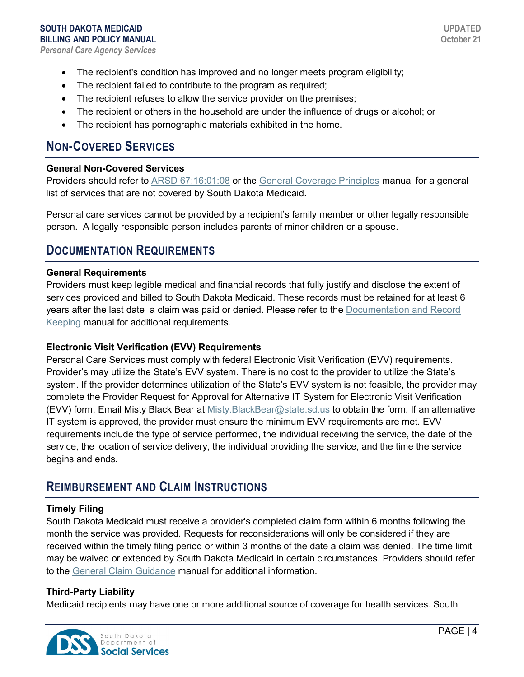- The recipient's condition has improved and no longer meets program eligibility;
- The recipient failed to contribute to the program as required;
- The recipient refuses to allow the service provider on the premises;
- The recipient or others in the household are under the influence of drugs or alcohol; or
- The recipient has pornographic materials exhibited in the home.

## **NON-COVERED SERVICES**

#### **General Non-Covered Services**

Providers should refer to [ARSD 67:16:01:08](http://sdlegislature.gov/rules/DisplayRule.aspx?Rule=67:16:01:08) or the [General Coverage Principles](https://dss.sd.gov/docs/medicaid/providers/billingmanuals/General/General_Coverage_Principles.pdf) manual for a general list of services that are not covered by South Dakota Medicaid.

Personal care services cannot be provided by a recipient's family member or other legally responsible person. A legally responsible person includes parents of minor children or a spouse.

## **DOCUMENTATION REQUIREMENTS**

#### **General Requirements**

Providers must keep legible medical and financial records that fully justify and disclose the extent of services provided and billed to South Dakota Medicaid. These records must be retained for at least 6 years after the last date a claim was paid or denied. Please refer to the [Documentation and Record](https://dss.sd.gov/docs/medicaid/providers/billingmanuals/General/Documentation_and_Records.pdf)  [Keeping](https://dss.sd.gov/docs/medicaid/providers/billingmanuals/General/Documentation_and_Records.pdf) manual for additional requirements.

#### **Electronic Visit Verification (EVV) Requirements**

Personal Care Services must comply with federal Electronic Visit Verification (EVV) requirements. Provider's may utilize the State's EVV system. There is no cost to the provider to utilize the State's system. If the provider determines utilization of the State's EVV system is not feasible, the provider may complete the Provider Request for Approval for Alternative IT System for Electronic Visit Verification (EVV) form. Email Misty Black Bear at [Misty.BlackBear@state.sd.us](mailto:Misty.BlackBear@state.sd.us) to obtain the form. If an alternative IT system is approved, the provider must ensure the minimum EVV requirements are met. EVV requirements include the type of service performed, the individual receiving the service, the date of the service, the location of service delivery, the individual providing the service, and the time the service begins and ends.

### **REIMBURSEMENT AND CLAIM INSTRUCTIONS**

#### **Timely Filing**

South Dakota Medicaid must receive a provider's completed claim form within 6 months following the month the service was provided. Requests for reconsiderations will only be considered if they are received within the timely filing period or within 3 months of the date a claim was denied. The time limit may be waived or extended by South Dakota Medicaid in certain circumstances. Providers should refer to the [General Claim Guidance](https://dss.sd.gov/docs/medicaid/providers/billingmanuals/General/General_Claim_Guidance.pdf) manual for additional information.

#### **Third-Party Liability**

Medicaid recipients may have one or more additional source of coverage for health services. South

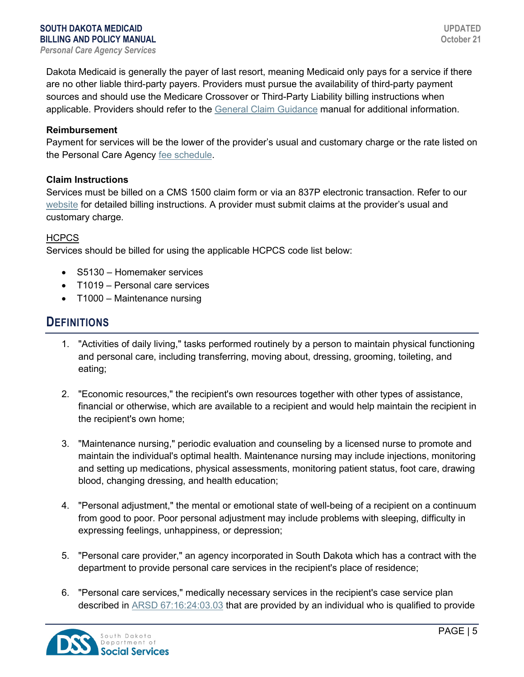Dakota Medicaid is generally the payer of last resort, meaning Medicaid only pays for a service if there are no other liable third-party payers. Providers must pursue the availability of third-party payment sources and should use the Medicare Crossover or Third-Party Liability billing instructions when applicable. Providers should refer to the [General Claim Guidance](https://dss.sd.gov/docs/medicaid/providers/billingmanuals/General/General_Claim_Guidance.pdf) manual for additional information.

#### **Reimbursement**

Payment for services will be the lower of the provider's usual and customary charge or the rate listed on the Personal Care Agency [fee schedule.](https://dss.sd.gov/medicaid/providers/feeschedules/dss/)

#### **Claim Instructions**

Services must be billed on a CMS 1500 claim form or via an 837P electronic transaction. Refer to our [website](https://dss.sd.gov/medicaid/providers/billingmanuals/) for detailed billing instructions. A provider must submit claims at the provider's usual and customary charge.

#### **HCPCS**

Services should be billed for using the applicable HCPCS code list below:

- S5130 Homemaker services
- T1019 Personal care services
- T1000 Maintenance nursing

### **DEFINITIONS**

- 1. "Activities of daily living," tasks performed routinely by a person to maintain physical functioning and personal care, including transferring, moving about, dressing, grooming, toileting, and eating;
- 2. "Economic resources," the recipient's own resources together with other types of assistance, financial or otherwise, which are available to a recipient and would help maintain the recipient in the recipient's own home;
- 3. "Maintenance nursing," periodic evaluation and counseling by a licensed nurse to promote and maintain the individual's optimal health. Maintenance nursing may include injections, monitoring and setting up medications, physical assessments, monitoring patient status, foot care, drawing blood, changing dressing, and health education;
- 4. "Personal adjustment," the mental or emotional state of well-being of a recipient on a continuum from good to poor. Poor personal adjustment may include problems with sleeping, difficulty in expressing feelings, unhappiness, or depression;
- 5. "Personal care provider," an agency incorporated in South Dakota which has a contract with the department to provide personal care services in the recipient's place of residence;
- 6. "Personal care services," medically necessary services in the recipient's case service plan described in [ARSD 67:16:24:03.03](http://sdlegislature.gov/Rules/DisplayRule.aspx?Rule=67:16:24:03.03) that are provided by an individual who is qualified to provide